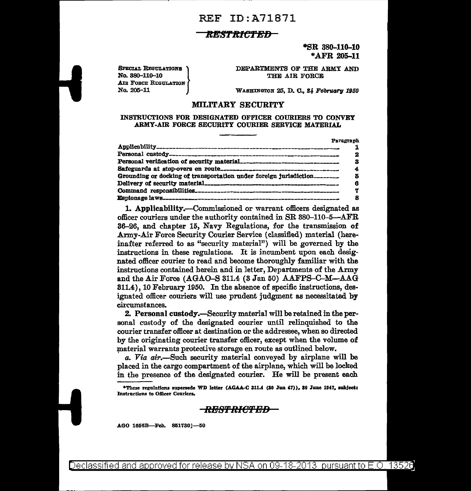## REF ID:A71871

### *ltES'l'ttiC'l'BB*

 $*$ SR 380-110-10 \* AFR 205-11

SPECIAL REGULATIONS No. 380-110-10 AIR FORCE REGULATION No. 205-11

DEPARTMENTS OF THE ARMY AND THE AIR FORCE

WASHINGTON 25, D. C., 24 February 1950

#### MILITARY SECURITY

#### INSTRUCTIONS FOR DESIGNATED OFFICER COURIERS TO CONVEY ARMY-AIR FORCE SECURITY COURIER SERVICE MATERIAL

|                                                                   | Paragraph |
|-------------------------------------------------------------------|-----------|
|                                                                   |           |
|                                                                   | 2         |
|                                                                   | з         |
|                                                                   |           |
| Grounding or docking of transportation under foreign jurisdiction |           |
|                                                                   |           |
|                                                                   |           |
|                                                                   |           |

1. Applicability.--Commissioned or warrant officers designated as officer couriers under the authority contained in SR 380-110-5-AFR 36-26, and chapter 15, Navy Regulations, for the transmission of Army-Air Force Security Courier Service (classified) material (hereinafter referred to as "security material") will be governed by the instructions in these regulations. It is incumbent upon each designated officer courier to read and become thoroughly familiar with the instructions contained herein and in letter, Departments of the Army and the Air Force (AGAO-S 311.4 (3 Jan 50) AAFPS-C-M-AAG 311.4), 10 February 1950. In the absence of specific instructions, designated officer couriers will use prudent judgment as necessitated by circumstances.

2. Personal custody.-Security material will be retained in the personal custody of the designated courier until relinquished to the courier transfer officer at destination or the addressee, when so directed by the originating courier transfer officer, except when the volume of material warrants protective storage en route as outlined below.

*a. Via* air.-Such security material conveyed by airplane will be placed in the cargo compartment of the airplane, which will be locked in the presence of the designated courier. He will be present each

\*These regulations supersede WD letter (AGAA-C 311.4 (30 Jun 47)), 30 June 1947, subject: Instructions to Officer Couriers.

### <del>RESTRICTED -</del>

AGO 1656B-Feb. 851730]-50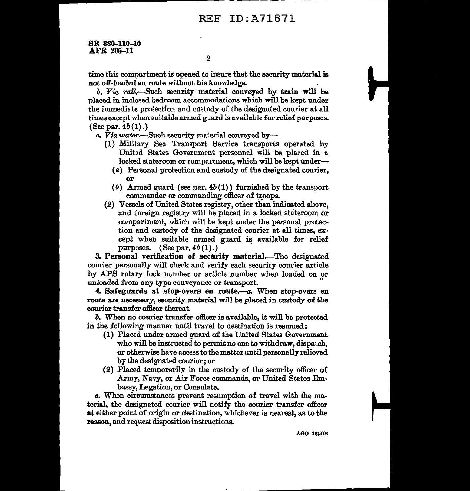# REF ID:A71871

SR 380-110-10 AFR 205-11

time this compartment is opened to insure that the security material is not off-loaded en route without his knowledge.

b. Via rail.—Such security material conveyed by train will be placed in inclosed bedroom accommodations which will be kept under the immediate protection and custody of the designated courier at all times except when suitable armed guard is available for relief purposes. (See par.  $4b(1)$ .)

*o.* Via *water.-Such* security material conveyed by-

- (1) Military Sea Transport Service transports operated by United States Government personnel will be placed in a locked stateroom or compartment, which will be kept under-
	- ( a) Personal protection and custody of the designated courier, or
	- (b) Armed guard (see par.  $4b(1)$ ) furnished by the transport commander or commanding officer of troops.
- {2) Vessels of United States registry, other than indicated above, and foreign registry will be placed in a locked stateroom or compartment, which will be kept under the personal protection and custody of the designated courier at all times, except when suitable armed guard is available for relief purposes.  $(See par. 4b(1).)$

3. Personal verification of security material.—The designated courier personally will check and verify each security courier article by APS rotary lock number or article number when loaded on or unloaded from any type conveyance or transport.

4. Safeguards at stop-overs en route. $-a$ . When stop-overs en route are necessary, security material will be placed in custody of the courier transfer officer thereat.

*b.* When no courier transfer officer is available, it will be protected in the following manner wttil travel to destination is resumed:

- {1) Placed under armed guard of the United States Government who will be instructed to permit no one to withdraw, dispatch, or otherwise have access to the matter until personally relieved by the designated courier; or
- {2) Placed temporarily in the custody of the security officer oi .Army, Navy, or Air Force commands, or United States Embassy, Legation, or Consulate.

*o.* When circumstances prevent resumption of travel with the material, the designated courier will notify the courier transfer officer at either point of origin or destination, whichever is nearest, as to the reason, and request disposition instructions.

AGO l656B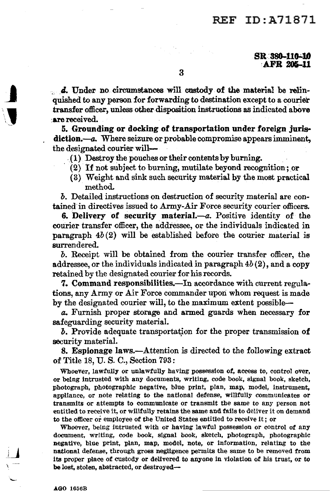# REF ID:A71871

 $\ldots$  d. Under no circumstances will custody of the material be relinquished to any person for forwarding to destination except to a courier transfer officer, unless other disposition instructions as indicated above :are received.

5. Grounding or doeking of transportation under foreign juris· diction.—a. Where seizure or probable compromise appears imminent, the designated courier will-

. (1) Destroy the pouches or their contents by burning.

- $(2)$  If not subject to burning, mutilate beyond recognition; or
- ( 3} Weight and sink such security material by the most practical method.

*b.* Detailed instructions on destruction of security material are contained in directives issued to Army-Air Force security courier officers.

6. Delivery of security material. $-a$ . Positive identity of the courier transfer officer, the addressee, or the individuals indicated in paragraph  $4b(2)$  will be established before the courier material is surrendered.

*b.* Receipt will be obtained from the courier transfer officer, the addressee, or the individuals indicated in paragraph  $4b(2)$ , and a copy retained by the designated courier for his records.

7. Command responsibilities.—In accordance with current regulations, any Army or Air Force commander upori whom request is made by the designated courier will, to the maximum extent possible-

a. Furnish proper storage and armed guards when necessary for safeguarding security material.

*b*. Provide adequate transportation for the proper transmission of security material.

8. Espionage laws.-Attention is directed to the following extract of Title 18, U. S. C., Section 793:

Whoever, lawfully or unlawfully having possession of, access to, control over, or being intrusted with any documents, writing, code book, signal book, sketch, photograph, photographic negative, blue print, plan, map, model, instrument, appliance, or note relating to the national defense, willfully communicates or transmits or attempts to communicate or transmit the same to any person not entitled to receive it, or willfully retains the same and fails to deliver it on demand to the officer or employee of the United States entitled to receive it; or

Whoever, being intrusted with or having lawful possession or control of any document, writing, code book, signal book, sketch, photograph, photographic negative, blue print, plan, map, model, note, or information, relating to the national defense, through gross negligence permits the same to be removed from its proper place of custody or delivered to anyone in violation of his trust, or to be lost, stolen, abstracted, or destroyed-

 $\blacksquare$ 

'\J